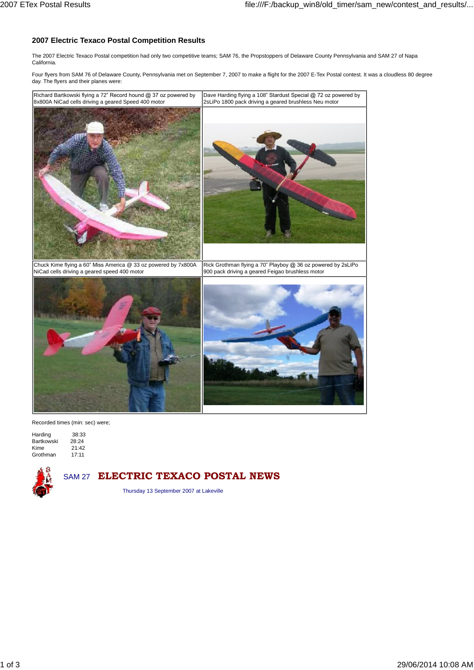## **2007 Electric Texaco Postal Competition Results**

The 2007 Electric Texaco Postal competition had only two competitive teams; SAM 76, the Propstoppers of Delaware County Pennsylvania and SAM 27 of Napa California.

Four flyers from SAM 76 of Delaware County, Pennsylvania met on September 7, 2007 to make a flight for the 2007 E-Tex Postal contest. It was a cloudless 80 degree day. The flyers and their planes were:



Recorded times (min: sec) were;

Harding 38:33<br>Bartkowski 28:24 **Bartkowski** Kime 21:42 Grothman 17:11



## SAM <sup>27</sup> **ELECTRIC TEXACO POSTAL NEWS**

Thursday 13 September 2007 at Lakeville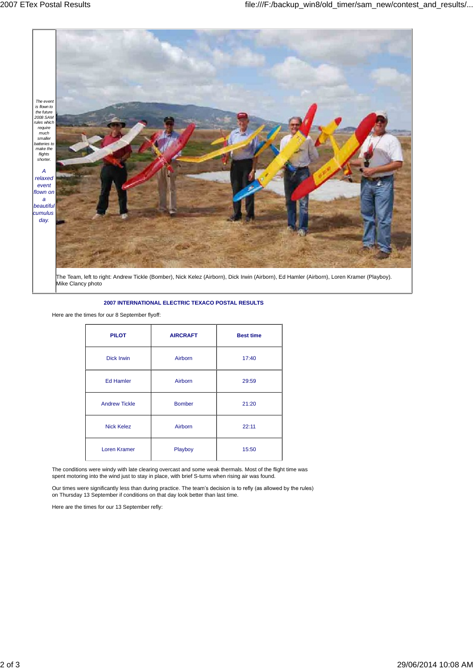

## **2007 INTERNATIONAL ELECTRIC TEXACO POSTAL RESULTS**

Here are the times for our 8 September flyoff:

| <b>PILOT</b>         | <b>AIRCRAFT</b> | <b>Best time</b> |
|----------------------|-----------------|------------------|
| <b>Dick Irwin</b>    | Airborn         | 17:40            |
| <b>Ed Hamler</b>     | Airborn         | 29:59            |
| <b>Andrew Tickle</b> | <b>Bomber</b>   | 21:20            |
| <b>Nick Kelez</b>    | Airborn         | 22:11            |
| Loren Kramer         | Playboy         | 15:50            |

The conditions were windy with late clearing overcast and some weak thermals. Most of the flight time was spent motoring into the wind just to stay in place, with brief S-turns when rising air was found.<br>Our times were significantly less than during practice. The team's decision is to refly (as allowed by the rules)

Our times were significantly less than during practice. The team's decision is to refly (as allowed by the rules) on Thursday 13 September if conditions on that day look better than last time.

Here are the times for our 13 September refly: